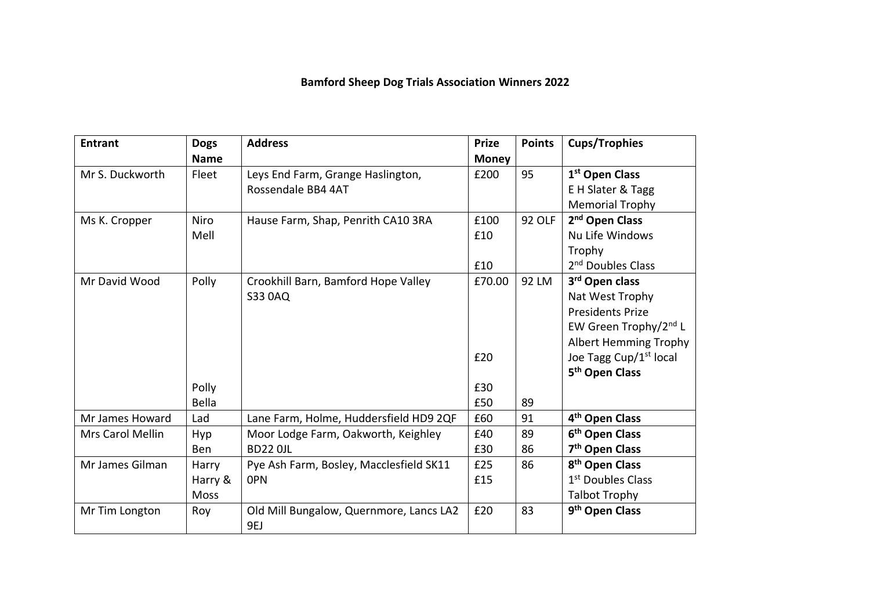## **Bamford Sheep Dog Trials Association Winners 2022**

| <b>Entrant</b>   | <b>Dogs</b> | <b>Address</b>                          | <b>Prize</b> | <b>Points</b> | <b>Cups/Trophies</b>               |
|------------------|-------------|-----------------------------------------|--------------|---------------|------------------------------------|
|                  | <b>Name</b> |                                         | <b>Money</b> |               |                                    |
| Mr S. Duckworth  | Fleet       | Leys End Farm, Grange Haslington,       | £200         | 95            | 1 <sup>st</sup> Open Class         |
|                  |             | Rossendale BB4 4AT                      |              |               | E H Slater & Tagg                  |
|                  |             |                                         |              |               | <b>Memorial Trophy</b>             |
| Ms K. Cropper    | <b>Niro</b> | Hause Farm, Shap, Penrith CA10 3RA      | £100         | 92 OLF        | 2 <sup>nd</sup> Open Class         |
|                  | Mell        |                                         | £10          |               | Nu Life Windows                    |
|                  |             |                                         |              |               | Trophy                             |
|                  |             |                                         | £10          |               | 2 <sup>nd</sup> Doubles Class      |
| Mr David Wood    | Polly       | Crookhill Barn, Bamford Hope Valley     | £70.00       | 92 LM         | 3 <sup>rd</sup> Open class         |
|                  |             | <b>S33 0AQ</b>                          |              |               | Nat West Trophy                    |
|                  |             |                                         |              |               | <b>Presidents Prize</b>            |
|                  |             |                                         |              |               | EW Green Trophy/2nd L              |
|                  |             |                                         |              |               | <b>Albert Hemming Trophy</b>       |
|                  |             |                                         | £20          |               | Joe Tagg Cup/1 <sup>st</sup> local |
|                  |             |                                         |              |               | 5 <sup>th</sup> Open Class         |
|                  | Polly       |                                         | £30          |               |                                    |
|                  | Bella       |                                         | £50          | 89            |                                    |
| Mr James Howard  | Lad         | Lane Farm, Holme, Huddersfield HD9 2QF  | £60          | 91            | 4 <sup>th</sup> Open Class         |
| Mrs Carol Mellin | <b>Hyp</b>  | Moor Lodge Farm, Oakworth, Keighley     | £40          | 89            | 6 <sup>th</sup> Open Class         |
|                  | Ben         | <b>BD22 0JL</b>                         | £30          | 86            | 7 <sup>th</sup> Open Class         |
| Mr James Gilman  | Harry       | Pye Ash Farm, Bosley, Macclesfield SK11 | £25          | 86            | 8 <sup>th</sup> Open Class         |
|                  | Harry &     | <b>OPN</b>                              | £15          |               | 1 <sup>st</sup> Doubles Class      |
|                  | <b>Moss</b> |                                         |              |               | <b>Talbot Trophy</b>               |
| Mr Tim Longton   | Roy         | Old Mill Bungalow, Quernmore, Lancs LA2 | £20          | 83            | 9 <sup>th</sup> Open Class         |
|                  |             | 9EJ                                     |              |               |                                    |